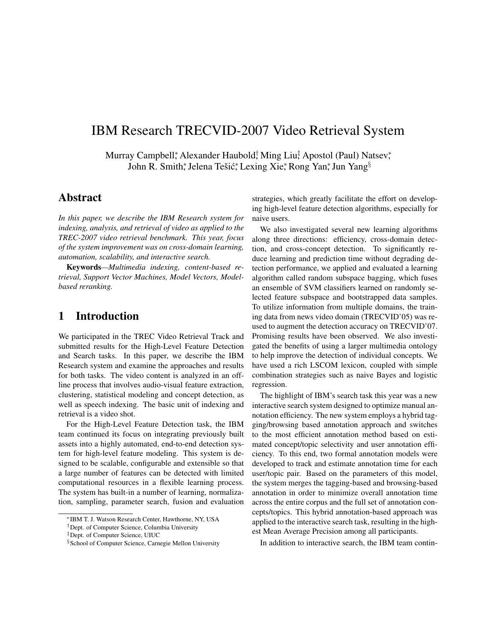# IBM Research TRECVID-2007 Video Retrieval System

Murray Campbell\*, Alexander Haubold† Ming Liu‡ Apostol (Paul) Natsev\*, John R. Smith\*, Jelena Tešić\*, Lexing Xie\*, Rong Yan\*, Jun Yang<sup>§</sup>

### Abstract

*In this paper, we describe the IBM Research system for indexing, analysis, and retrieval of video as applied to the TREC-2007 video retrieval benchmark. This year, focus of the system improvement was on cross-domain learning, automation, scalability, and interactive search.*

Keywords*—Multimedia indexing, content-based retrieval, Support Vector Machines, Model Vectors, Modelbased reranking.*

### 1 Introduction

We participated in the TREC Video Retrieval Track and submitted results for the High-Level Feature Detection and Search tasks. In this paper, we describe the IBM Research system and examine the approaches and results for both tasks. The video content is analyzed in an offline process that involves audio-visual feature extraction, clustering, statistical modeling and concept detection, as well as speech indexing. The basic unit of indexing and retrieval is a video shot.

For the High-Level Feature Detection task, the IBM team continued its focus on integrating previously built assets into a highly automated, end-to-end detection system for high-level feature modeling. This system is designed to be scalable, configurable and extensible so that a large number of features can be detected with limited computational resources in a flexible learning process. The system has built-in a number of learning, normalization, sampling, parameter search, fusion and evaluation

strategies, which greatly facilitate the effort on developing high-level feature detection algorithms, especially for naive users.

We also investigated several new learning algorithms along three directions: efficiency, cross-domain detection, and cross-concept detection. To significantly reduce learning and prediction time without degrading detection performance, we applied and evaluated a learning algorithm called random subspace bagging, which fuses an ensemble of SVM classifiers learned on randomly selected feature subspace and bootstrapped data samples. To utilize information from multiple domains, the training data from news video domain (TRECVID'05) was reused to augment the detection accuracy on TRECVID'07. Promising results have been observed. We also investigated the benefits of using a larger multimedia ontology to help improve the detection of individual concepts. We have used a rich LSCOM lexicon, coupled with simple combination strategies such as naive Bayes and logistic regression.

The highlight of IBM's search task this year was a new interactive search system designed to optimize manual annotation efficiency. The new system employs a hybrid tagging/browsing based annotation approach and switches to the most efficient annotation method based on estimated concept/topic selectivity and user annotation efficiency. To this end, two formal annotation models were developed to track and estimate annotation time for each user/topic pair. Based on the parameters of this model, the system merges the tagging-based and browsing-based annotation in order to minimize overall annotation time across the entire corpus and the full set of annotation concepts/topics. This hybrid annotation-based approach was applied to the interactive search task, resulting in the highest Mean Average Precision among all participants.

In addition to interactive search, the IBM team contin-

<sup>∗</sup>IBM T. J. Watson Research Center, Hawthorne, NY, USA

<sup>†</sup>Dept. of Computer Science, Columbia University

<sup>‡</sup>Dept. of Computer Science, UIUC

<sup>§</sup>School of Computer Science, Carnegie Mellon University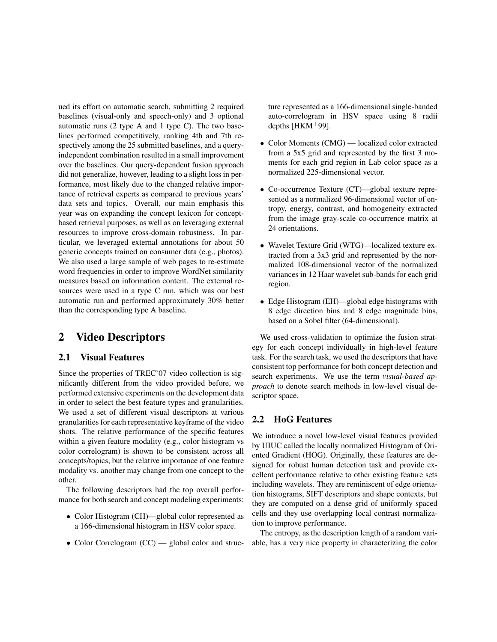ued its effort on automatic search, submitting 2 required baselines (visual-only and speech-only) and 3 optional automatic runs (2 type A and 1 type C). The two baselines performed competitively, ranking 4th and 7th respectively among the 25 submitted baselines, and a queryindependent combination resulted in a small improvement over the baselines. Our query-dependent fusion approach did not generalize, however, leading to a slight loss in performance, most likely due to the changed relative importance of retrieval experts as compared to previous years' data sets and topics. Overall, our main emphasis this year was on expanding the concept lexicon for conceptbased retrieval purposes, as well as on leveraging external resources to improve cross-domain robustness. In particular, we leveraged external annotations for about 50 generic concepts trained on consumer data (e.g., photos). We also used a large sample of web pages to re-estimate word frequencies in order to improve WordNet similarity measures based on information content. The external resources were used in a type C run, which was our best automatic run and performed approximately 30% better than the corresponding type A baseline.

# 2 Video Descriptors

#### 2.1 Visual Features

Since the properties of TREC'07 video collection is significantly different from the video provided before, we performed extensive experiments on the development data in order to select the best feature types and granularities. We used a set of different visual descriptors at various granularities for each representative keyframe of the video shots. The relative performance of the specific features within a given feature modality (e.g., color histogram vs color correlogram) is shown to be consistent across all concepts/topics, but the relative importance of one feature modality vs. another may change from one concept to the other.

The following descriptors had the top overall performance for both search and concept modeling experiments:

- Color Histogram (CH)—global color represented as a 166-dimensional histogram in HSV color space.
- Color Correlogram (CC) global color and struc-

ture represented as a 166-dimensional single-banded auto-correlogram in HSV space using 8 radii depths  $[HKM+99]$ .

- Color Moments (CMG) localized color extracted from a 5x5 grid and represented by the first 3 moments for each grid region in Lab color space as a normalized 225-dimensional vector.
- Co-occurrence Texture (CT)—global texture represented as a normalized 96-dimensional vector of entropy, energy, contrast, and homogeneity extracted from the image gray-scale co-occurrence matrix at 24 orientations.
- Wavelet Texture Grid (WTG)—localized texture extracted from a 3x3 grid and represented by the normalized 108-dimensional vector of the normalized variances in 12 Haar wavelet sub-bands for each grid region.
- Edge Histogram (EH)—global edge histograms with 8 edge direction bins and 8 edge magnitude bins, based on a Sobel filter (64-dimensional).

We used cross-validation to optimize the fusion strategy for each concept individually in high-level feature task. For the search task, we used the descriptors that have consistent top performance for both concept detection and search experiments. We use the term *visual-based approach* to denote search methods in low-level visual descriptor space.

#### 2.2 HoG Features

We introduce a novel low-level visual features provided by UIUC called the locally normalized Histogram of Oriented Gradient (HOG). Originally, these features are designed for robust human detection task and provide excellent performance relative to other existing feature sets including wavelets. They are reminiscent of edge orientation histograms, SIFT descriptors and shape contexts, but they are computed on a dense grid of uniformly spaced cells and they use overlapping local contrast normalization to improve performance.

The entropy, as the description length of a random variable, has a very nice property in characterizing the color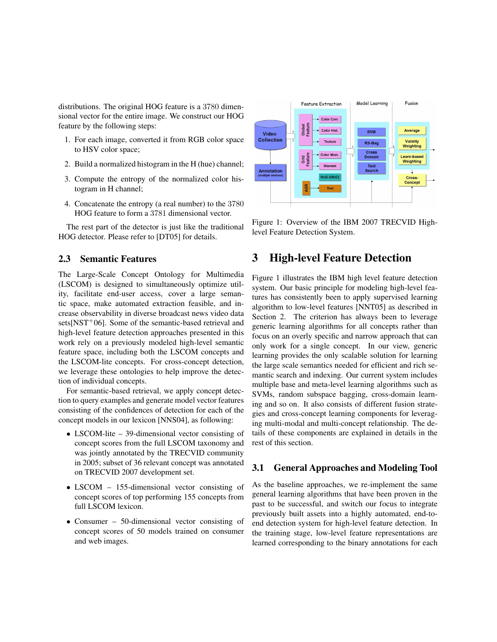distributions. The original HOG feature is a 3780 dimensional vector for the entire image. We construct our HOG feature by the following steps:

- 1. For each image, converted it from RGB color space to HSV color space;
- 2. Build a normalized histogram in the H (hue) channel;
- 3. Compute the entropy of the normalized color histogram in H channel;
- 4. Concatenate the entropy (a real number) to the 3780 HOG feature to form a 3781 dimensional vector.

The rest part of the detector is just like the traditional HOG detector. Please refer to [DT05] for details.

#### 2.3 Semantic Features

The Large-Scale Concept Ontology for Multimedia (LSCOM) is designed to simultaneously optimize utility, facilitate end-user access, cover a large semantic space, make automated extraction feasible, and increase observability in diverse broadcast news video data sets[NST<sup>+</sup>06]. Some of the semantic-based retrieval and high-level feature detection approaches presented in this work rely on a previously modeled high-level semantic feature space, including both the LSCOM concepts and the LSCOM-lite concepts. For cross-concept detection, we leverage these ontologies to help improve the detection of individual concepts.

For semantic-based retrieval, we apply concept detection to query examples and generate model vector features consisting of the confidences of detection for each of the concept models in our lexicon [NNS04], as following:

- LSCOM-lite 39-dimensional vector consisting of concept scores from the full LSCOM taxonomy and was jointly annotated by the TRECVID community in 2005; subset of 36 relevant concept was annotated on TRECVID 2007 development set.
- LSCOM 155-dimensional vector consisting of concept scores of top performing 155 concepts from full LSCOM lexicon.
- Consumer 50-dimensional vector consisting of concept scores of 50 models trained on consumer and web images.



Figure 1: Overview of the IBM 2007 TRECVID Highlevel Feature Detection System.

### 3 High-level Feature Detection

Figure 1 illustrates the IBM high level feature detection system. Our basic principle for modeling high-level features has consistently been to apply supervised learning algorithm to low-level features [NNT05] as described in Section 2. The criterion has always been to leverage generic learning algorithms for all concepts rather than focus on an overly specific and narrow approach that can only work for a single concept. In our view, generic learning provides the only scalable solution for learning the large scale semantics needed for efficient and rich semantic search and indexing. Our current system includes multiple base and meta-level learning algorithms such as SVMs, random subspace bagging, cross-domain learning and so on. It also consists of different fusion strategies and cross-concept learning components for leveraging multi-modal and multi-concept relationship. The details of these components are explained in details in the rest of this section.

#### 3.1 General Approaches and Modeling Tool

As the baseline approaches, we re-implement the same general learning algorithms that have been proven in the past to be successful, and switch our focus to integrate previously built assets into a highly automated, end-toend detection system for high-level feature detection. In the training stage, low-level feature representations are learned corresponding to the binary annotations for each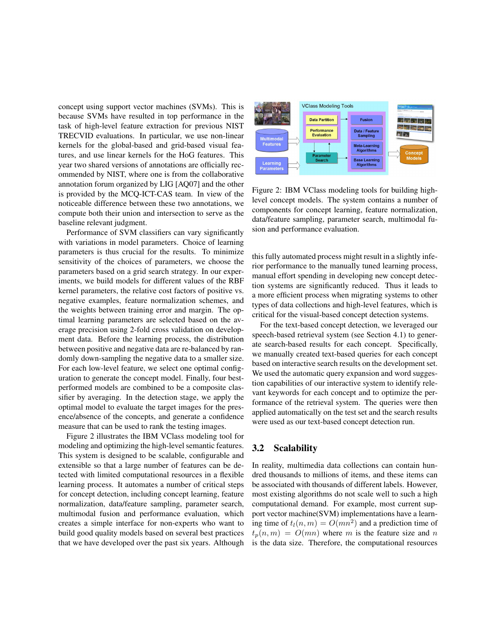concept using support vector machines (SVMs). This is because SVMs have resulted in top performance in the task of high-level feature extraction for previous NIST TRECVID evaluations. In particular, we use non-linear kernels for the global-based and grid-based visual features, and use linear kernels for the HoG features. This year two shared versions of annotations are officially recommended by NIST, where one is from the collaborative annotation forum organized by LIG [AQ07] and the other is provided by the MCQ-ICT-CAS team. In view of the noticeable difference between these two annotations, we compute both their union and intersection to serve as the baseline relevant judgment.

Performance of SVM classifiers can vary significantly with variations in model parameters. Choice of learning parameters is thus crucial for the results. To minimize sensitivity of the choices of parameters, we choose the parameters based on a grid search strategy. In our experiments, we build models for different values of the RBF kernel parameters, the relative cost factors of positive vs. negative examples, feature normalization schemes, and the weights between training error and margin. The optimal learning parameters are selected based on the average precision using 2-fold cross validation on development data. Before the learning process, the distribution between positive and negative data are re-balanced by randomly down-sampling the negative data to a smaller size. For each low-level feature, we select one optimal configuration to generate the concept model. Finally, four bestperformed models are combined to be a composite classifier by averaging. In the detection stage, we apply the optimal model to evaluate the target images for the presence/absence of the concepts, and generate a confidence measure that can be used to rank the testing images.

Figure 2 illustrates the IBM VClass modeling tool for modeling and optimizing the high-level semantic features. This system is designed to be scalable, configurable and extensible so that a large number of features can be detected with limited computational resources in a flexible learning process. It automates a number of critical steps for concept detection, including concept learning, feature normalization, data/feature sampling, parameter search, multimodal fusion and performance evaluation, which creates a simple interface for non-experts who want to build good quality models based on several best practices that we have developed over the past six years. Although



Figure 2: IBM VClass modeling tools for building highlevel concept models. The system contains a number of components for concept learning, feature normalization, data/feature sampling, parameter search, multimodal fusion and performance evaluation.

this fully automated process might result in a slightly inferior performance to the manually tuned learning process, manual effort spending in developing new concept detection systems are significantly reduced. Thus it leads to a more efficient process when migrating systems to other types of data collections and high-level features, which is critical for the visual-based concept detection systems.

For the text-based concept detection, we leveraged our speech-based retrieval system (see Section 4.1) to generate search-based results for each concept. Specifically, we manually created text-based queries for each concept based on interactive search results on the development set. We used the automatic query expansion and word suggestion capabilities of our interactive system to identify relevant keywords for each concept and to optimize the performance of the retrieval system. The queries were then applied automatically on the test set and the search results were used as our text-based concept detection run.

#### 3.2 Scalability

In reality, multimedia data collections can contain hundred thousands to millions of items, and these items can be associated with thousands of different labels. However, most existing algorithms do not scale well to such a high computational demand. For example, most current support vector machine(SVM) implementations have a learning time of  $t_l(n,m) = O(mn^2)$  and a prediction time of  $t_n(n, m) = O(mn)$  where m is the feature size and n is the data size. Therefore, the computational resources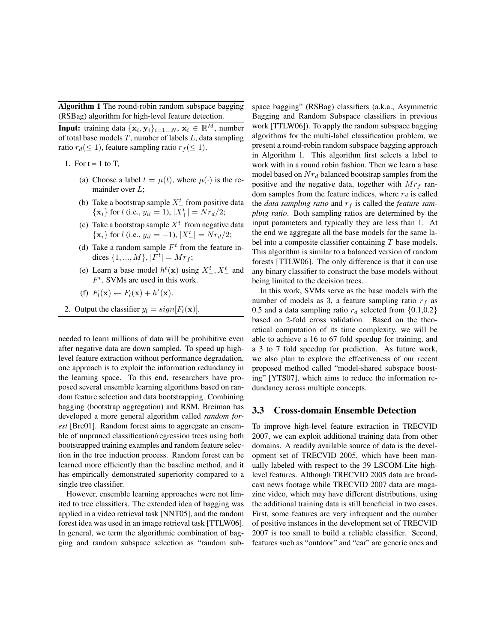Algorithm 1 The round-robin random subspace bagging (RSBag) algorithm for high-level feature detection.

**Input:** training data  $\{x_i, y_i\}_{i=1...N}, x_i \in \mathbb{R}^M$ , number of total base models  $T$ , number of labels  $L$ , data sampling ratio  $r_d (\leq 1)$ , feature sampling ratio  $r_f (\leq 1)$ .

1. For  $t = 1$  to T,

- (a) Choose a label  $l = \mu(t)$ , where  $\mu(\cdot)$  is the remainder over  $L$ ;
- (b) Take a bootstrap sample  $X_{+}^{t}$  from positive data  ${x_i}$  for *l* (i.e.,  $y_{il} = 1$ ),  $|X_+^t| = Nr_d/2$ ;
- (c) Take a bootstrap sample  $X^t$  from negative data  $\{x_i\}$  for *l* (i.e.,  $y_{il} = -1$ ),  $|X_{-}^{t}| = Nr_d/2$ ;
- (d) Take a random sample  $F<sup>t</sup>$  from the feature indices  $\{1, ..., M\}, |F^t| = Mr_f;$
- (e) Learn a base model  $h^t(\mathbf{x})$  using  $X^t_+$ ,  $X^t_-$  and  $F<sup>t</sup>$ . SVMs are used in this work.
- (f)  $F_l(\mathbf{x}) \leftarrow F_l(\mathbf{x}) + h^t(\mathbf{x}).$
- 2. Output the classifier  $y_l = sign[F_l(\mathbf{x})]$ .

needed to learn millions of data will be prohibitive even after negative data are down sampled. To speed up highlevel feature extraction without performance degradation, one approach is to exploit the information redundancy in the learning space. To this end, researchers have proposed several ensemble learning algorithms based on random feature selection and data bootstrapping. Combining bagging (bootstrap aggregation) and RSM, Breiman has developed a more general algorithm called *random forest* [Bre01]. Random forest aims to aggregate an ensemble of unpruned classification/regression trees using both bootstrapped training examples and random feature selection in the tree induction process. Random forest can be learned more efficiently than the baseline method, and it has empirically demonstrated superiority compared to a single tree classifier.

However, ensemble learning approaches were not limited to tree classifiers. The extended idea of bagging was applied in a video retrieval task [NNT05], and the random forest idea was used in an image retrieval task [TTLW06]. In general, we term the algorithmic combination of bagging and random subspace selection as "random subspace bagging" (RSBag) classifiers (a.k.a., Asymmetric Bagging and Random Subspace classifiers in previous work [TTLW06]). To apply the random subspace bagging algorithms for the multi-label classification problem, we present a round-robin random subspace bagging approach in Algorithm 1. This algorithm first selects a label to work with in a round robin fashion. Then we learn a base model based on  $Nr_d$  balanced bootstrap samples from the positive and the negative data, together with  $Mr_f$  random samples from the feature indices, where  $r_d$  is called the *data sampling ratio* and  $r_f$  is called the *feature sampling ratio*. Both sampling ratios are determined by the input parameters and typically they are less than 1. At the end we aggregate all the base models for the same label into a composite classifier containing T base models. This algorithm is similar to a balanced version of random forests [TTLW06]. The only difference is that it can use any binary classifier to construct the base models without being limited to the decision trees.

In this work, SVMs serve as the base models with the number of models as 3, a feature sampling ratio  $r_f$  as 0.5 and a data sampling ratio  $r_d$  selected from  $\{0.1, 0.2\}$ based on 2-fold cross validation. Based on the theoretical computation of its time complexity, we will be able to achieve a 16 to 67 fold speedup for training, and a 3 to 7 fold speedup for prediction. As future work, we also plan to explore the effectiveness of our recent proposed method called "model-shared subspace boosting" [YTS07], which aims to reduce the information redundancy across multiple concepts.

#### 3.3 Cross-domain Ensemble Detection

To improve high-level feature extraction in TRECVID 2007, we can exploit additional training data from other domains. A readily available source of data is the development set of TRECVID 2005, which have been manually labeled with respect to the 39 LSCOM-Lite highlevel features. Although TRECVID 2005 data are broadcast news footage while TRECVID 2007 data are magazine video, which may have different distributions, using the additional training data is still beneficial in two cases. First, some features are very infrequent and the number of positive instances in the development set of TRECVID 2007 is too small to build a reliable classifier. Second, features such as "outdoor" and "car" are generic ones and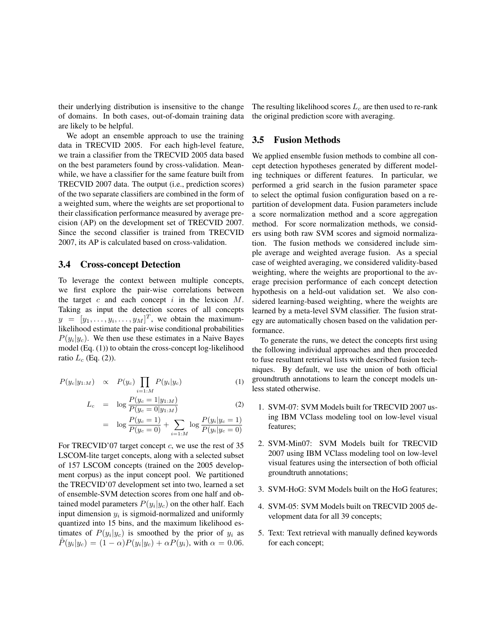their underlying distribution is insensitive to the change of domains. In both cases, out-of-domain training data are likely to be helpful.

We adopt an ensemble approach to use the training data in TRECVID 2005. For each high-level feature, we train a classifier from the TRECVID 2005 data based on the best parameters found by cross-validation. Meanwhile, we have a classifier for the same feature built from TRECVID 2007 data. The output (i.e., prediction scores) of the two separate classifiers are combined in the form of a weighted sum, where the weights are set proportional to their classification performance measured by average precision (AP) on the development set of TRECVID 2007. Since the second classifier is trained from TRECVID 2007, its AP is calculated based on cross-validation.

#### 3.4 Cross-concept Detection

To leverage the context between multiple concepts, we first explore the pair-wise correlations between the target  $c$  and each concept  $i$  in the lexicon  $M$ . Taking as input the detection scores of all concepts  $y = [y_1, \dots, y_i, \dots, y_M]^T$ , we obtain the maximumlikelihood estimate the pair-wise conditional probabilities  $P(y_i|y_c)$ . We then use these estimates in a Naive Bayes model (Eq. (1)) to obtain the cross-concept log-likelihood ratio  $L_c$  (Eq. (2)).

$$
P(y_c|y_{1:M}) \propto P(y_c) \prod_{i=1:M} P(y_i|y_c)
$$
 (1)

$$
L_c = \log \frac{P(y_c = 1|y_{1:M})}{P(y_c = 0|y_{1:M})}
$$
 (2)

$$
= \log \frac{P(y_c=1)}{P(y_c=0)} + \sum_{i=1:M} \log \frac{P(y_i|y_c=1)}{P(y_i|y_c=0)}
$$

For TRECVID'07 target concept  $c$ , we use the rest of 35 LSCOM-lite target concepts, along with a selected subset of 157 LSCOM concepts (trained on the 2005 development corpus) as the input concept pool. We partitioned the TRECVID'07 development set into two, learned a set of ensemble-SVM detection scores from one half and obtained model parameters  $P(y_i|y_c)$  on the other half. Each input dimension  $y_i$  is sigmoid-normalized and uniformly quantized into 15 bins, and the maximum likelihood estimates of  $P(y_i|y_c)$  is smoothed by the prior of  $y_i$  as  $\hat{P}(y_i|y_c) = (1-\alpha)P(y_i|y_c) + \alpha P(y_i)$ , with  $\alpha = 0.06$ .

The resulting likelihood scores  $L_c$  are then used to re-rank the original prediction score with averaging.

#### 3.5 Fusion Methods

We applied ensemble fusion methods to combine all concept detection hypotheses generated by different modeling techniques or different features. In particular, we performed a grid search in the fusion parameter space to select the optimal fusion configuration based on a repartition of development data. Fusion parameters include a score normalization method and a score aggregation method. For score normalization methods, we considers using both raw SVM scores and sigmoid normalization. The fusion methods we considered include simple average and weighted average fusion. As a special case of weighted averaging, we considered validity-based weighting, where the weights are proportional to the average precision performance of each concept detection hypothesis on a held-out validation set. We also considered learning-based weighting, where the weights are learned by a meta-level SVM classifier. The fusion strategy are automatically chosen based on the validation performance.

To generate the runs, we detect the concepts first using the following individual approaches and then proceeded to fuse resultant retrieval lists with described fusion techniques. By default, we use the union of both official groundtruth annotations to learn the concept models unless stated otherwise.

- 1. SVM-07: SVM Models built for TRECVID 2007 using IBM VClass modeling tool on low-level visual features;
- 2. SVM-Min07: SVM Models built for TRECVID 2007 using IBM VClass modeling tool on low-level visual features using the intersection of both official groundtruth annotations;
- 3. SVM-HoG: SVM Models built on the HoG features;
- 4. SVM-05: SVM Models built on TRECVID 2005 development data for all 39 concepts;
- 5. Text: Text retrieval with manually defined keywords for each concept;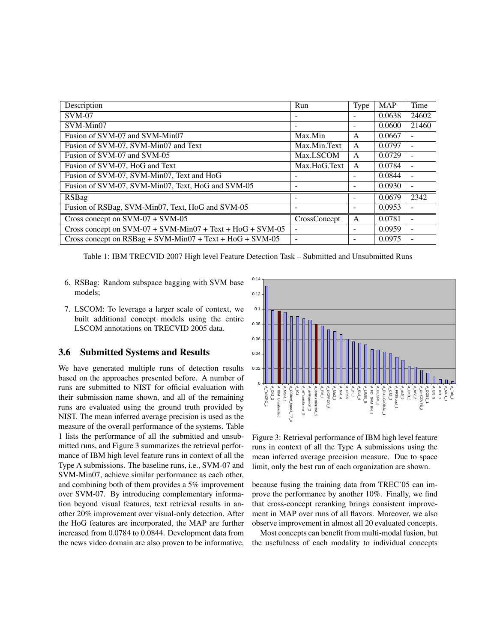| Description                                                   | Run          | Type                         | <b>MAP</b> | Time                     |
|---------------------------------------------------------------|--------------|------------------------------|------------|--------------------------|
| $SVM-07$                                                      |              |                              | 0.0638     | 24602                    |
| SVM-Min07                                                     |              |                              | 0.0600     | 21460                    |
| Fusion of SVM-07 and SVM-Min07                                | Max.Min      | A                            | 0.0667     |                          |
| Fusion of SVM-07, SVM-Min07 and Text                          | Max.Min.Text | A                            | 0.0797     |                          |
| Fusion of SVM-07 and SVM-05                                   | Max.LSCOM    | A                            | 0.0729     | $\overline{a}$           |
| Fusion of SVM-07, HoG and Text                                | Max.HoG.Text | A                            | 0.0784     |                          |
| Fusion of SVM-07, SVM-Min07, Text and HoG                     |              |                              | 0.0844     | ٠                        |
| Fusion of SVM-07, SVM-Min07, Text, HoG and SVM-05             | ٠            | $\qquad \qquad \blacksquare$ | 0.0930     | $\overline{\phantom{a}}$ |
| <b>RSBag</b>                                                  |              |                              | 0.0679     | 2342                     |
| Fusion of RSBag, SVM-Min07, Text, HoG and SVM-05              |              |                              | 0.0953     |                          |
| Cross concept on $SVM-07 + \overline{SVM-05}$                 | CrossConcept | A                            | 0.0781     | $\overline{\phantom{0}}$ |
| Cross concept on $SVM-07 + SVM-Min07 + Text + HoG + SVM-05$   |              |                              | 0.0959     | $\overline{a}$           |
| Cross concept on $RSBag + SVM - Min07 + Text + HoG + SVM -05$ |              |                              | 0.0975     |                          |

Table 1: IBM TRECVID 2007 High level Feature Detection Task – Submitted and Unsubmitted Runs

- 6. RSBag: Random subspace bagging with SVM base models;
- 7. LSCOM: To leverage a larger scale of context, we built additional concept models using the entire LSCOM annotations on TRECVID 2005 data.

#### 3.6 Submitted Systems and Results

We have generated multiple runs of detection results based on the approaches presented before. A number of runs are submitted to NIST for official evaluation with their submission name shown, and all of the remaining runs are evaluated using the ground truth provided by NIST. The mean inferred average precision is used as the measure of the overall performance of the systems. Table 1 lists the performance of all the submitted and unsubmitted runs, and Figure 3 summarizes the retrieval performance of IBM high level feature runs in context of all the Type A submissions. The baseline runs, i.e., SVM-07 and SVM-Min07, achieve similar performance as each other, and combining both of them provides a 5% improvement over SVM-07. By introducing complementary information beyond visual features, text retrieval results in another 20% improvement over visual-only detection. After the HoG features are incorporated, the MAP are further increased from 0.0784 to 0.0844. Development data from the news video domain are also proven to be informative,



Figure 3: Retrieval performance of IBM high level feature runs in context of all the Type A submissions using the mean inferred average precision measure. Due to space limit, only the best run of each organization are shown.

because fusing the training data from TREC'05 can improve the performance by another 10%. Finally, we find that cross-concept reranking brings consistent improvement in MAP over runs of all flavors. Moreover, we also observe improvement in almost all 20 evaluated concepts.

Most concepts can benefit from multi-modal fusion, but the usefulness of each modality to individual concepts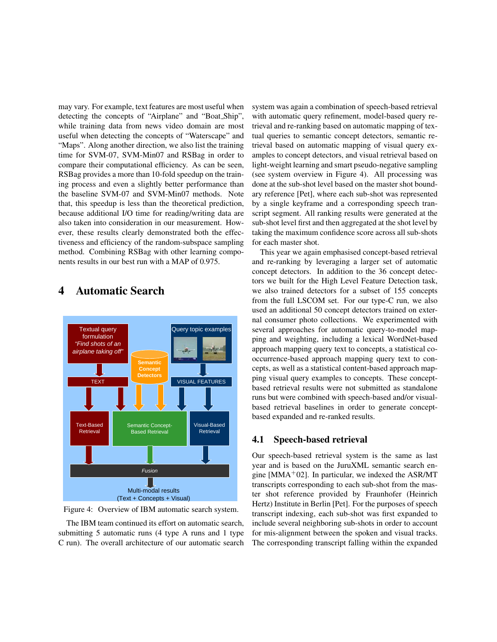may vary. For example, text features are most useful when detecting the concepts of "Airplane" and "Boat Ship", while training data from news video domain are most useful when detecting the concepts of "Waterscape" and "Maps". Along another direction, we also list the training time for SVM-07, SVM-Min07 and RSBag in order to compare their computational efficiency. As can be seen, RSBag provides a more than 10-fold speedup on the training process and even a slightly better performance than the baseline SVM-07 and SVM-Min07 methods. Note that, this speedup is less than the theoretical prediction, because additional I/O time for reading/writing data are also taken into consideration in our measurement. However, these results clearly demonstrated both the effectiveness and efficiency of the random-subspace sampling method. Combining RSBag with other learning components results in our best run with a MAP of 0.975.



### 4 Automatic Search

Figure 4: Overview of IBM automatic search system.

The IBM team continued its effort on automatic search, submitting 5 automatic runs (4 type A runs and 1 type C run). The overall architecture of our automatic search system was again a combination of speech-based retrieval with automatic query refinement, model-based query retrieval and re-ranking based on automatic mapping of textual queries to semantic concept detectors, semantic retrieval based on automatic mapping of visual query examples to concept detectors, and visual retrieval based on light-weight learning and smart pseudo-negative sampling (see system overview in Figure 4). All processing was done at the sub-shot level based on the master shot boundary reference [Pet], where each sub-shot was represented by a single keyframe and a corresponding speech transcript segment. All ranking results were generated at the sub-shot level first and then aggregated at the shot level by taking the maximum confidence score across all sub-shots for each master shot.

This year we again emphasised concept-based retrieval and re-ranking by leveraging a larger set of automatic concept detectors. In addition to the 36 concept detectors we built for the High Level Feature Detection task, we also trained detectors for a subset of 155 concepts from the full LSCOM set. For our type-C run, we also used an additional 50 concept detectors trained on external consumer photo collections. We experimented with several approaches for automatic query-to-model mapping and weighting, including a lexical WordNet-based approach mapping query text to concepts, a statistical cooccurrence-based approach mapping query text to concepts, as well as a statistical content-based approach mapping visual query examples to concepts. These conceptbased retrieval results were not submitted as standalone runs but were combined with speech-based and/or visualbased retrieval baselines in order to generate conceptbased expanded and re-ranked results.

#### 4.1 Speech-based retrieval

Our speech-based retrieval system is the same as last year and is based on the JuruXML semantic search engine [MMA<sup>+</sup>02]. In particular, we indexed the ASR/MT transcripts corresponding to each sub-shot from the master shot reference provided by Fraunhofer (Heinrich Hertz) Institute in Berlin [Pet]. For the purposes of speech transcript indexing, each sub-shot was first expanded to include several neighboring sub-shots in order to account for mis-alignment between the spoken and visual tracks. The corresponding transcript falling within the expanded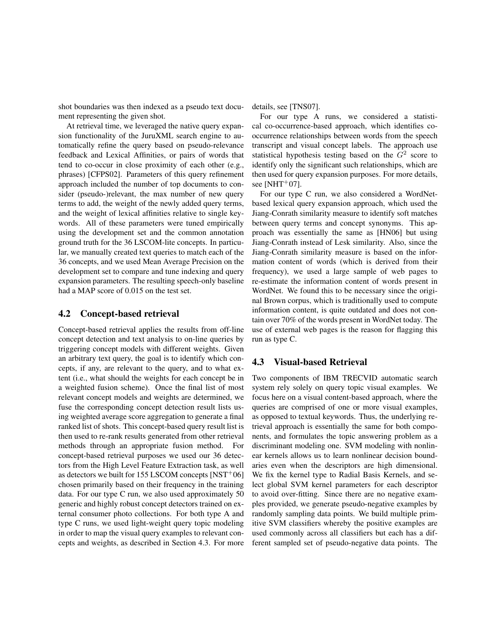shot boundaries was then indexed as a pseudo text document representing the given shot.

At retrieval time, we leveraged the native query expansion functionality of the JuruXML search engine to automatically refine the query based on pseudo-relevance feedback and Lexical Affinities, or pairs of words that tend to co-occur in close proximity of each other (e.g., phrases) [CFPS02]. Parameters of this query refinement approach included the number of top documents to consider (pseudo-)relevant, the max number of new query terms to add, the weight of the newly added query terms, and the weight of lexical affinities relative to single keywords. All of these parameters were tuned empirically using the development set and the common annotation ground truth for the 36 LSCOM-lite concepts. In particular, we manually created text queries to match each of the 36 concepts, and we used Mean Average Precision on the development set to compare and tune indexing and query expansion parameters. The resulting speech-only baseline had a MAP score of 0.015 on the test set.

#### 4.2 Concept-based retrieval

Concept-based retrieval applies the results from off-line concept detection and text analysis to on-line queries by triggering concept models with different weights. Given an arbitrary text query, the goal is to identify which concepts, if any, are relevant to the query, and to what extent (i.e., what should the weights for each concept be in a weighted fusion scheme). Once the final list of most relevant concept models and weights are determined, we fuse the corresponding concept detection result lists using weighted average score aggregation to generate a final ranked list of shots. This concept-based query result list is then used to re-rank results generated from other retrieval methods through an appropriate fusion method. For concept-based retrieval purposes we used our 36 detectors from the High Level Feature Extraction task, as well as detectors we built for 155 LSCOM concepts  $[NST<sup>+</sup>06]$ chosen primarily based on their frequency in the training data. For our type C run, we also used approximately 50 generic and highly robust concept detectors trained on external consumer photo collections. For both type A and type C runs, we used light-weight query topic modeling in order to map the visual query examples to relevant concepts and weights, as described in Section 4.3. For more

details, see [TNS07].

For our type A runs, we considered a statistical co-occurrence-based approach, which identifies cooccurrence relationships between words from the speech transcript and visual concept labels. The approach use statistical hypothesis testing based on the  $G<sup>2</sup>$  score to identify only the significant such relationships, which are then used for query expansion purposes. For more details, see  $[NHT+07]$ .

For our type C run, we also considered a WordNetbased lexical query expansion approach, which used the Jiang-Conrath similarity measure to identify soft matches between query terms and concept synonyms. This approach was essentially the same as [HN06] but using Jiang-Conrath instead of Lesk similarity. Also, since the Jiang-Conrath similarity measure is based on the information content of words (which is derived from their frequency), we used a large sample of web pages to re-estimate the information content of words present in WordNet. We found this to be necessary since the original Brown corpus, which is traditionally used to compute information content, is quite outdated and does not contain over 70% of the words present in WordNet today. The use of external web pages is the reason for flagging this run as type C.

#### 4.3 Visual-based Retrieval

Two components of IBM TRECVID automatic search system rely solely on query topic visual examples. We focus here on a visual content-based approach, where the queries are comprised of one or more visual examples, as opposed to textual keywords. Thus, the underlying retrieval approach is essentially the same for both components, and formulates the topic answering problem as a discriminant modeling one. SVM modeling with nonlinear kernels allows us to learn nonlinear decision boundaries even when the descriptors are high dimensional. We fix the kernel type to Radial Basis Kernels, and select global SVM kernel parameters for each descriptor to avoid over-fitting. Since there are no negative examples provided, we generate pseudo-negative examples by randomly sampling data points. We build multiple primitive SVM classifiers whereby the positive examples are used commonly across all classifiers but each has a different sampled set of pseudo-negative data points. The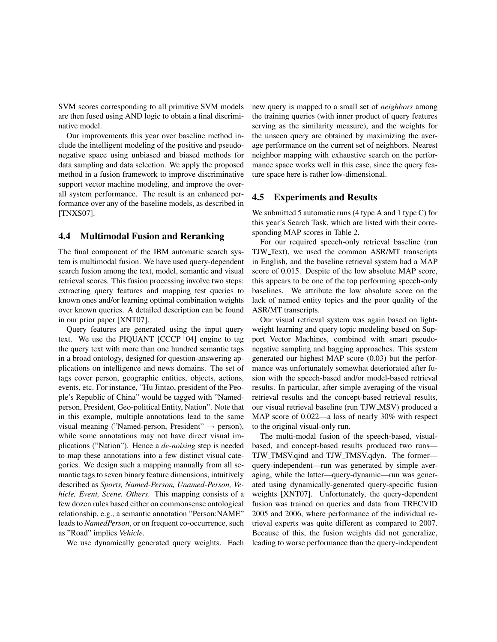SVM scores corresponding to all primitive SVM models are then fused using AND logic to obtain a final discriminative model.

Our improvements this year over baseline method include the intelligent modeling of the positive and pseudonegative space using unbiased and biased methods for data sampling and data selection. We apply the proposed method in a fusion framework to improve discriminative support vector machine modeling, and improve the overall system performance. The result is an enhanced performance over any of the baseline models, as described in [TNXS07].

#### 4.4 Multimodal Fusion and Reranking

The final component of the IBM automatic search system is multimodal fusion. We have used query-dependent search fusion among the text, model, semantic and visual retrieval scores. This fusion processing involve two steps: extracting query features and mapping test queries to known ones and/or learning optimal combination weights over known queries. A detailed description can be found in our prior paper [XNT07].

Query features are generated using the input query text. We use the PIQUANT  $[CCCP+04]$  engine to tag the query text with more than one hundred semantic tags in a broad ontology, designed for question-answering applications on intelligence and news domains. The set of tags cover person, geographic entities, objects, actions, events, etc. For instance, "Hu Jintao, president of the People's Republic of China" would be tagged with "Namedperson, President, Geo-political Entity, Nation". Note that in this example, multiple annotations lead to the same visual meaning ("Named-person, President"  $\rightarrow$  person), while some annotations may not have direct visual implications ("Nation"). Hence a *de-noising* step is needed to map these annotations into a few distinct visual categories. We design such a mapping manually from all semantic tags to seven binary feature dimensions, intuitively described as *Sports, Named-Person, Unamed-Person, Vehicle, Event, Scene, Others*. This mapping consists of a few dozen rules based either on commonsense ontological relationship, e.g., a semantic annotation "Person:NAME" leads to *NamedPerson*, or on frequent co-occurrence, such as "Road" implies *Vehicle*.

We use dynamically generated query weights. Each

new query is mapped to a small set of *neighbors* among the training queries (with inner product of query features serving as the similarity measure), and the weights for the unseen query are obtained by maximizing the average performance on the current set of neighbors. Nearest neighbor mapping with exhaustive search on the performance space works well in this case, since the query feature space here is rather low-dimensional.

#### 4.5 Experiments and Results

We submitted 5 automatic runs (4 type A and 1 type C) for this year's Search Task, which are listed with their corresponding MAP scores in Table 2.

For our required speech-only retrieval baseline (run TJW Text), we used the common ASR/MT transcripts in English, and the baseline retrieval system had a MAP score of 0.015. Despite of the low absolute MAP score, this appears to be one of the top performing speech-only baselines. We attribute the low absolute score on the lack of named entity topics and the poor quality of the ASR/MT transcripts.

Our visual retrieval system was again based on lightweight learning and query topic modeling based on Support Vector Machines, combined with smart pseudonegative sampling and bagging approaches. This system generated our highest MAP score (0.03) but the performance was unfortunately somewhat deteriorated after fusion with the speech-based and/or model-based retrieval results. In particular, after simple averaging of the visual retrieval results and the concept-based retrieval results, our visual retrieval baseline (run TJW MSV) produced a MAP score of 0.022—a loss of nearly 30% with respect to the original visual-only run.

The multi-modal fusion of the speech-based, visualbased, and concept-based results produced two runs— TJW TMSV.qind and TJW TMSV.qdyn. The former query-independent—run was generated by simple averaging, while the latter—query-dynamic—run was generated using dynamically-generated query-specific fusion weights [XNT07]. Unfortunately, the query-dependent fusion was trained on queries and data from TRECVID 2005 and 2006, where performance of the individual retrieval experts was quite different as compared to 2007. Because of this, the fusion weights did not generalize, leading to worse performance than the query-independent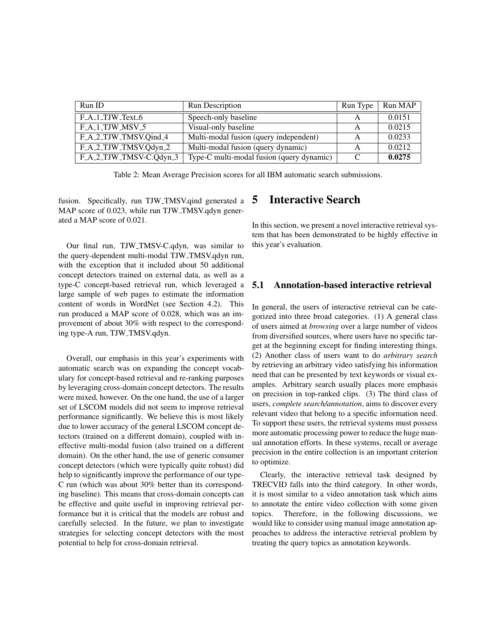| Run ID                  | <b>Run Description</b>                    | Run Type | Run MAP |
|-------------------------|-------------------------------------------|----------|---------|
| $F_A_1_TJW_Text_6$      | Speech-only baseline                      | А        | 0.0151  |
| $F_A_1_TJW_MSV_5$       | Visual-only baseline                      |          | 0.0215  |
| F_A_2_TJW_TMSV.Qind_4   | Multi-modal fusion (query independent)    | А        | 0.0233  |
| F_A_2_TJW_TMSV.Qdyn_2   | Multi-modal fusion (query dynamic)        | А        | 0.0212  |
| F_A_2_TJW_TMSV-C.Qdyn_3 | Type-C multi-modal fusion (query dynamic) |          | 0.0275  |

Table 2: Mean Average Precision scores for all IBM automatic search submissions.

fusion. Specifically, run TJW TMSV.qind generated a MAP score of 0.023, while run TJW\_TMSV.qdyn generated a MAP score of 0.021.

Our final run, TJW TMSV-C.qdyn, was similar to the query-dependent multi-modal TJW TMSV.qdyn run, with the exception that it included about 50 additional concept detectors trained on external data, as well as a type-C concept-based retrieval run, which leveraged a large sample of web pages to estimate the information content of words in WordNet (see Section 4.2). This run produced a MAP score of 0.028, which was an improvement of about 30% with respect to the corresponding type-A run, TJW TMSV.qdyn.

Overall, our emphasis in this year's experiments with automatic search was on expanding the concept vocabulary for concept-based retrieval and re-ranking purposes by leveraging cross-domain concept detectors. The results were mixed, however. On the one hand, the use of a larger set of LSCOM models did not seem to improve retrieval performance significantly. We believe this is most likely due to lower accuracy of the general LSCOM concept detectors (trained on a different domain), coupled with ineffective multi-modal fusion (also trained on a different domain). On the other hand, the use of generic consumer concept detectors (which were typically quite robust) did help to significantly improve the performance of our type-C run (which was about 30% better than its corresponding baseline). This means that cross-domain concepts can be effective and quite useful in improving retrieval performance but it is critical that the models are robust and carefully selected. In the future, we plan to investigate strategies for selecting concept detectors with the most potential to help for cross-domain retrieval.

# 5 Interactive Search

In this section, we present a novel interactive retrieval system that has been demonstrated to be highly effective in this year's evaluation.

#### 5.1 Annotation-based interactive retrieval

In general, the users of interactive retrieval can be categorized into three broad categories. (1) A general class of users aimed at *browsing* over a large number of videos from diversified sources, where users have no specific target at the beginning except for finding interesting things. (2) Another class of users want to do *arbitrary search* by retrieving an arbitrary video satisfying his information need that can be presented by text keywords or visual examples. Arbitrary search usually places more emphasis on precision in top-ranked clips. (3) The third class of users, *complete search/annotation*, aims to discover every relevant video that belong to a specific information need. To support these users, the retrieval systems must possess more automatic processing power to reduce the huge manual annotation efforts. In these systems, recall or average precision in the entire collection is an important criterion to optimize.

Clearly, the interactive retrieval task designed by TRECVID falls into the third category. In other words, it is most similar to a video annotation task which aims to annotate the entire video collection with some given topics. Therefore, in the following discussions, we would like to consider using manual image annotation approaches to address the interactive retrieval problem by treating the query topics as annotation keywords.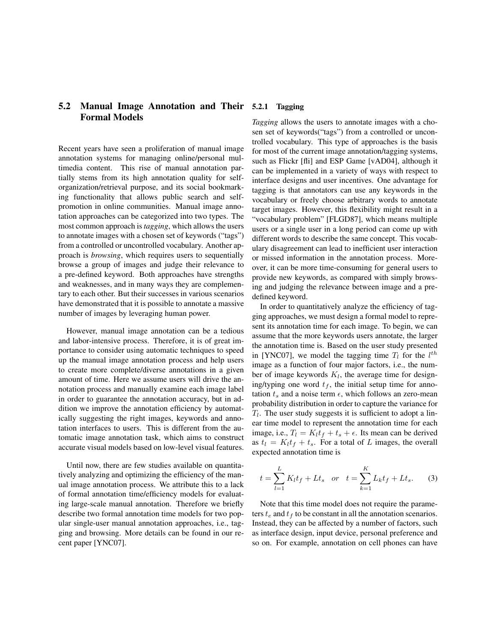### 5.2 Manual Image Annotation and Their Formal Models

Recent years have seen a proliferation of manual image annotation systems for managing online/personal multimedia content. This rise of manual annotation partially stems from its high annotation quality for selforganization/retrieval purpose, and its social bookmarking functionality that allows public search and selfpromotion in online communities. Manual image annotation approaches can be categorized into two types. The most common approach is *tagging*, which allows the users to annotate images with a chosen set of keywords ("tags") from a controlled or uncontrolled vocabulary. Another approach is *browsing*, which requires users to sequentially browse a group of images and judge their relevance to a pre-defined keyword. Both approaches have strengths and weaknesses, and in many ways they are complementary to each other. But their successes in various scenarios have demonstrated that it is possible to annotate a massive number of images by leveraging human power.

However, manual image annotation can be a tedious and labor-intensive process. Therefore, it is of great importance to consider using automatic techniques to speed up the manual image annotation process and help users to create more complete/diverse annotations in a given amount of time. Here we assume users will drive the annotation process and manually examine each image label in order to guarantee the annotation accuracy, but in addition we improve the annotation efficiency by automatically suggesting the right images, keywords and annotation interfaces to users. This is different from the automatic image annotation task, which aims to construct accurate visual models based on low-level visual features.

Until now, there are few studies available on quantitatively analyzing and optimizing the efficiency of the manual image annotation process. We attribute this to a lack of formal annotation time/efficiency models for evaluating large-scale manual annotation. Therefore we briefly describe two formal annotation time models for two popular single-user manual annotation approaches, i.e., tagging and browsing. More details can be found in our recent paper [YNC07].

#### **Tagging**

*Tagging* allows the users to annotate images with a chosen set of keywords("tags") from a controlled or uncontrolled vocabulary. This type of approaches is the basis for most of the current image annotation/tagging systems, such as Flickr [fli] and ESP Game [vAD04], although it can be implemented in a variety of ways with respect to interface designs and user incentives. One advantage for tagging is that annotators can use any keywords in the vocabulary or freely choose arbitrary words to annotate target images. However, this flexibility might result in a "vocabulary problem" [FLGD87], which means multiple users or a single user in a long period can come up with different words to describe the same concept. This vocabulary disagreement can lead to inefficient user interaction or missed information in the annotation process. Moreover, it can be more time-consuming for general users to provide new keywords, as compared with simply browsing and judging the relevance between image and a predefined keyword.

In order to quantitatively analyze the efficiency of tagging approaches, we must design a formal model to represent its annotation time for each image. To begin, we can assume that the more keywords users annotate, the larger the annotation time is. Based on the user study presented in [YNC07], we model the tagging time  $T_l$  for the  $l^{th}$ image as a function of four major factors, i.e., the number of image keywords  $K_l$ , the average time for designing/typing one word  $t_f$ , the initial setup time for annotation  $t_s$  and a noise term  $\epsilon$ , which follows an zero-mean probability distribution in order to capture the variance for  $T_l$ . The user study suggests it is sufficient to adopt a linear time model to represent the annotation time for each image, i.e.,  $T_l = K_l t_f + t_s + \epsilon$ . Its mean can be derived as  $t_l = K_l t_f + t_s$ . For a total of L images, the overall expected annotation time is

$$
t = \sum_{l=1}^{L} K_l t_f + L t_s
$$
 or  $t = \sum_{k=1}^{K} L_k t_f + L t_s.$  (3)

Note that this time model does not require the parameters  $t_e$  and  $t_f$  to be constant in all the annotation scenarios. Instead, they can be affected by a number of factors, such as interface design, input device, personal preference and so on. For example, annotation on cell phones can have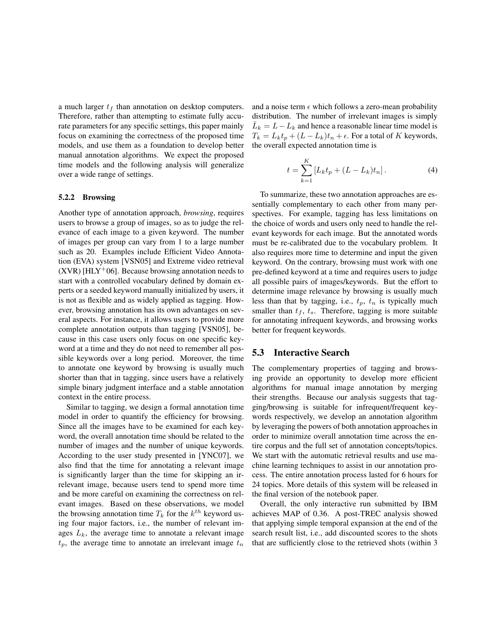a much larger  $t_f$  than annotation on desktop computers. Therefore, rather than attempting to estimate fully accurate parameters for any specific settings, this paper mainly focus on examining the correctness of the proposed time models, and use them as a foundation to develop better manual annotation algorithms. We expect the proposed time models and the following analysis will generalize over a wide range of settings.

#### 5.2.2 Browsing

Another type of annotation approach, *browsing*, requires users to browse a group of images, so as to judge the relevance of each image to a given keyword. The number of images per group can vary from 1 to a large number such as 20. Examples include Efficient Video Annotation (EVA) system [VSN05] and Extreme video retrieval  $(XVR)$  [HLY<sup>+</sup>06]. Because browsing annotation needs to start with a controlled vocabulary defined by domain experts or a seeded keyword manually initialized by users, it is not as flexible and as widely applied as tagging. However, browsing annotation has its own advantages on several aspects. For instance, it allows users to provide more complete annotation outputs than tagging [VSN05], because in this case users only focus on one specific keyword at a time and they do not need to remember all possible keywords over a long period. Moreover, the time to annotate one keyword by browsing is usually much shorter than that in tagging, since users have a relatively simple binary judgment interface and a stable annotation context in the entire process.

Similar to tagging, we design a formal annotation time model in order to quantify the efficiency for browsing. Since all the images have to be examined for each keyword, the overall annotation time should be related to the number of images and the number of unique keywords. According to the user study presented in [YNC07], we also find that the time for annotating a relevant image is significantly larger than the time for skipping an irrelevant image, because users tend to spend more time and be more careful on examining the correctness on relevant images. Based on these observations, we model the browsing annotation time  $T_k$  for the  $k^{th}$  keyword using four major factors, i.e., the number of relevant images  $L_k$ , the average time to annotate a relevant image  $t_p$ , the average time to annotate an irrelevant image  $t_n$ 

and a noise term  $\epsilon$  which follows a zero-mean probability distribution. The number of irrelevant images is simply  $\overline{L}_k = L - L_k$  and hence a reasonable linear time model is  $T_k = L_k t_p + (L - L_k)t_n + \epsilon$ . For a total of K keywords, the overall expected annotation time is

$$
t = \sum_{k=1}^{K} [L_k t_p + (L - L_k)t_n].
$$
 (4)

To summarize, these two annotation approaches are essentially complementary to each other from many perspectives. For example, tagging has less limitations on the choice of words and users only need to handle the relevant keywords for each image. But the annotated words must be re-calibrated due to the vocabulary problem. It also requires more time to determine and input the given keyword. On the contrary, browsing must work with one pre-defined keyword at a time and requires users to judge all possible pairs of images/keywords. But the effort to determine image relevance by browsing is usually much less than that by tagging, i.e.,  $t_p$ ,  $t_n$  is typically much smaller than  $t_f$ ,  $t_s$ . Therefore, tagging is more suitable for annotating infrequent keywords, and browsing works better for frequent keywords.

#### 5.3 Interactive Search

The complementary properties of tagging and browsing provide an opportunity to develop more efficient algorithms for manual image annotation by merging their strengths. Because our analysis suggests that tagging/browsing is suitable for infrequent/frequent keywords respectively, we develop an annotation algorithm by leveraging the powers of both annotation approaches in order to minimize overall annotation time across the entire corpus and the full set of annotation concepts/topics. We start with the automatic retrieval results and use machine learning techniques to assist in our annotation process. The entire annotation process lasted for 6 hours for 24 topics. More details of this system will be released in the final version of the notebook paper.

Overall, the only interactive run submitted by IBM achieves MAP of 0.36. A post-TREC analysis showed that applying simple temporal expansion at the end of the search result list, i.e., add discounted scores to the shots that are sufficiently close to the retrieved shots (within 3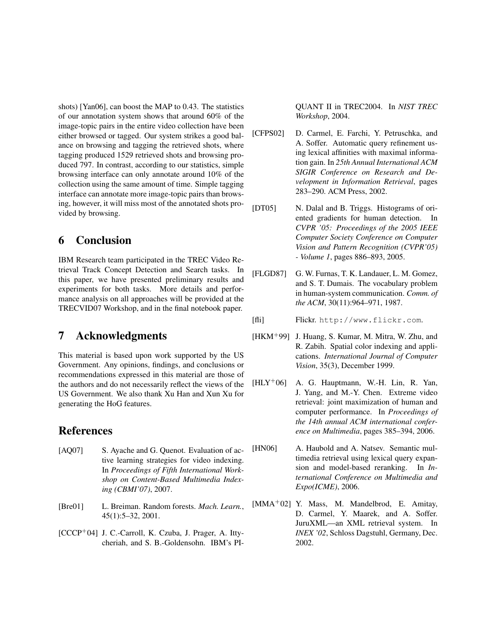shots) [Yan06], can boost the MAP to 0.43. The statistics of our annotation system shows that around 60% of the image-topic pairs in the entire video collection have been either browsed or tagged. Our system strikes a good balance on browsing and tagging the retrieved shots, where tagging produced 1529 retrieved shots and browsing produced 797. In contrast, according to our statistics, simple browsing interface can only annotate around 10% of the collection using the same amount of time. Simple tagging interface can annotate more image-topic pairs than browsing, however, it will miss most of the annotated shots provided by browsing.

# 6 Conclusion

IBM Research team participated in the TREC Video Retrieval Track Concept Detection and Search tasks. In this paper, we have presented preliminary results and experiments for both tasks. More details and performance analysis on all approaches will be provided at the TRECVID07 Workshop, and in the final notebook paper.

# 7 Acknowledgments

This material is based upon work supported by the US Government. Any opinions, findings, and conclusions or recommendations expressed in this material are those of the authors and do not necessarily reflect the views of the US Government. We also thank Xu Han and Xun Xu for generating the HoG features.

### References

- [AQ07] S. Ayache and G. Quenot. Evaluation of active learning strategies for video indexing. In *Proceedings of Fifth International Workshop on Content-Based Multimedia Indexing (CBMI'07)*, 2007.
- [Bre01] L. Breiman. Random forests. *Mach. Learn.*, 45(1):5–32, 2001.
- $[CCCP<sup>+</sup>04]$  J. C.-Carroll, K. Czuba, J. Prager, A. Ittycheriah, and S. B.-Goldensohn. IBM's PI-

QUANT II in TREC2004. In *NIST TREC Workshop*, 2004.

- [CFPS02] D. Carmel, E. Farchi, Y. Petruschka, and A. Soffer. Automatic query refinement using lexical affinities with maximal information gain. In *25th Annual International ACM SIGIR Conference on Research and Development in Information Retrieval*, pages 283–290. ACM Press, 2002.
- [DT05] N. Dalal and B. Triggs. Histograms of oriented gradients for human detection. In *CVPR '05: Proceedings of the 2005 IEEE Computer Society Conference on Computer Vision and Pattern Recognition (CVPR'05) - Volume 1*, pages 886–893, 2005.
- [FLGD87] G. W. Furnas, T. K. Landauer, L. M. Gomez, and S. T. Dumais. The vocabulary problem in human-system communication. *Comm. of the ACM*, 30(11):964–971, 1987.
- [fli] Flickr. http://www.flickr.com.
- [HKM<sup>+</sup>99] J. Huang, S. Kumar, M. Mitra, W. Zhu, and R. Zabih. Spatial color indexing and applications. *International Journal of Computer Vision*, 35(3), December 1999.
- $[HLY<sup>+</sup>06]$  A. G. Hauptmann, W.-H. Lin, R. Yan, J. Yang, and M.-Y. Chen. Extreme video retrieval: joint maximization of human and computer performance. In *Proceedings of the 14th annual ACM international conference on Multimedia*, pages 385–394, 2006.
- [HN06] A. Haubold and A. Natsev. Semantic multimedia retrieval using lexical query expansion and model-based reranking. In *International Conference on Multimedia and Expo(ICME)*, 2006.
- [MMA<sup>+</sup>02] Y. Mass, M. Mandelbrod, E. Amitay, D. Carmel, Y. Maarek, and A. Soffer. JuruXML—an XML retrieval system. In *INEX '02*, Schloss Dagstuhl, Germany, Dec. 2002.